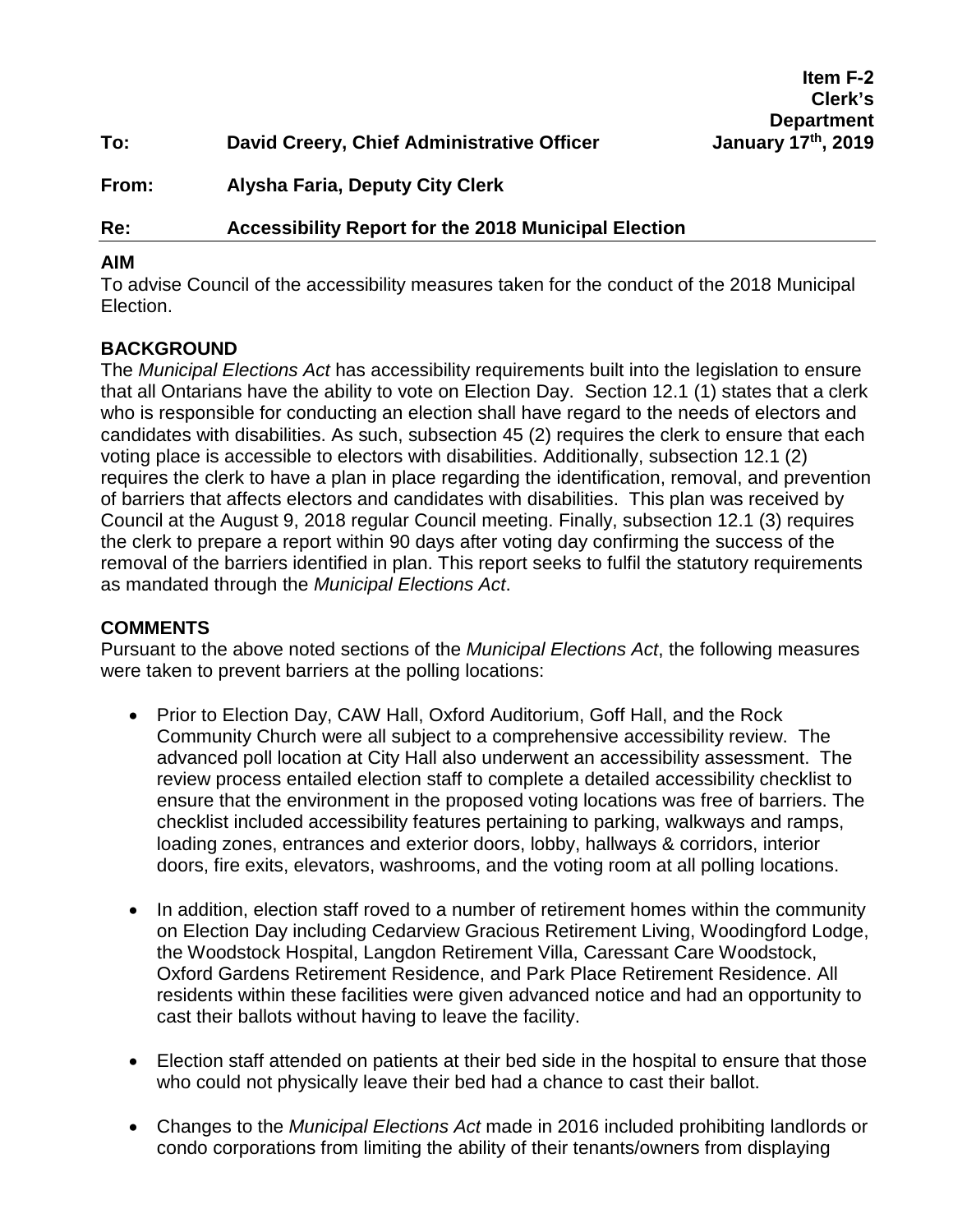|       |                                            | <b>UIGIN</b> S     |
|-------|--------------------------------------------|--------------------|
|       |                                            | <b>Department</b>  |
| To:   | David Creery, Chief Administrative Officer | January 17th, 2019 |
| From: | Alysha Faria, Deputy City Clerk            |                    |

# **Re: Accessibility Report for the 2018 Municipal Election**

### **AIM**

To advise Council of the accessibility measures taken for the conduct of the 2018 Municipal Election.

**Item F-2 Clerk's Department** 

## **BACKGROUND**

The *Municipal Elections Act* has accessibility requirements built into the legislation to ensure that all Ontarians have the ability to vote on Election Day. Section 12.1 (1) states that a clerk who is responsible for conducting an election shall have regard to the needs of electors and candidates with disabilities. As such, subsection 45 (2) requires the clerk to ensure that each voting place is accessible to electors with disabilities. Additionally, subsection 12.1 (2) requires the clerk to have a plan in place regarding the identification, removal, and prevention of barriers that affects electors and candidates with disabilities. This plan was received by Council at the August 9, 2018 regular Council meeting. Finally, subsection 12.1 (3) requires the clerk to prepare a report within 90 days after voting day confirming the success of the removal of the barriers identified in plan. This report seeks to fulfil the statutory requirements as mandated through the *Municipal Elections Act*.

### **COMMENTS**

Pursuant to the above noted sections of the *Municipal Elections Act*, the following measures were taken to prevent barriers at the polling locations:

- Prior to Election Day, CAW Hall, Oxford Auditorium, Goff Hall, and the Rock Community Church were all subject to a comprehensive accessibility review. The advanced poll location at City Hall also underwent an accessibility assessment. The review process entailed election staff to complete a detailed accessibility checklist to ensure that the environment in the proposed voting locations was free of barriers. The checklist included accessibility features pertaining to parking, walkways and ramps, loading zones, entrances and exterior doors, lobby, hallways & corridors, interior doors, fire exits, elevators, washrooms, and the voting room at all polling locations.
- In addition, election staff roved to a number of retirement homes within the community on Election Day including Cedarview Gracious Retirement Living, Woodingford Lodge, the Woodstock Hospital, Langdon Retirement Villa, Caressant Care Woodstock, Oxford Gardens Retirement Residence, and Park Place Retirement Residence. All residents within these facilities were given advanced notice and had an opportunity to cast their ballots without having to leave the facility.
- Election staff attended on patients at their bed side in the hospital to ensure that those who could not physically leave their bed had a chance to cast their ballot.
- Changes to the *Municipal Elections Act* made in 2016 included prohibiting landlords or condo corporations from limiting the ability of their tenants/owners from displaying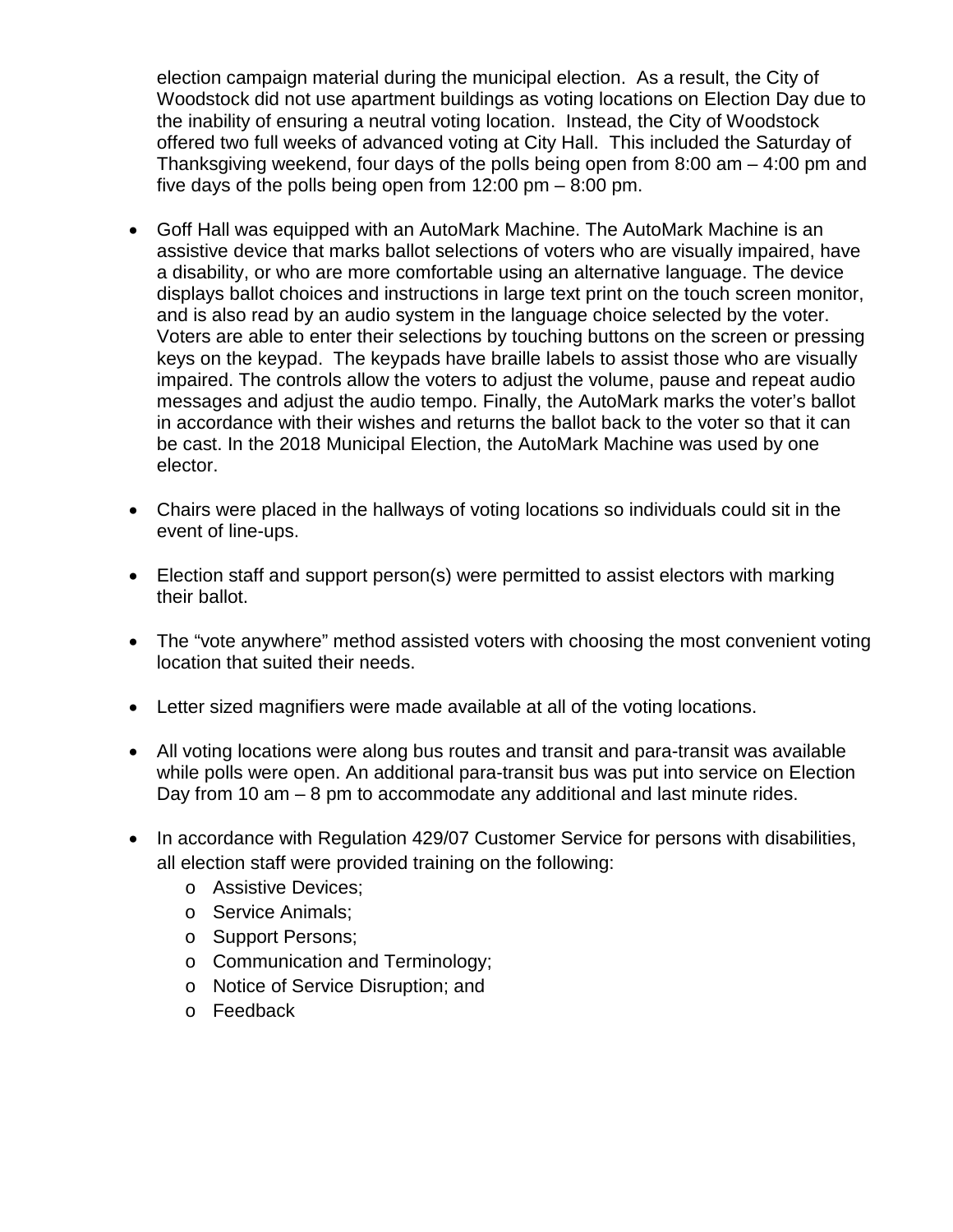election campaign material during the municipal election. As a result, the City of Woodstock did not use apartment buildings as voting locations on Election Day due to the inability of ensuring a neutral voting location. Instead, the City of Woodstock offered two full weeks of advanced voting at City Hall. This included the Saturday of Thanksgiving weekend, four days of the polls being open from 8:00 am – 4:00 pm and five days of the polls being open from 12:00 pm – 8:00 pm.

- Goff Hall was equipped with an AutoMark Machine. The AutoMark Machine is an assistive device that marks ballot selections of voters who are visually impaired, have a disability, or who are more comfortable using an alternative language. The device displays ballot choices and instructions in large text print on the touch screen monitor, and is also read by an audio system in the language choice selected by the voter. Voters are able to enter their selections by touching buttons on the screen or pressing keys on the keypad. The keypads have braille labels to assist those who are visually impaired. The controls allow the voters to adjust the volume, pause and repeat audio messages and adjust the audio tempo. Finally, the AutoMark marks the voter's ballot in accordance with their wishes and returns the ballot back to the voter so that it can be cast. In the 2018 Municipal Election, the AutoMark Machine was used by one elector.
- Chairs were placed in the hallways of voting locations so individuals could sit in the event of line-ups.
- Election staff and support person(s) were permitted to assist electors with marking their ballot.
- The "vote anywhere" method assisted voters with choosing the most convenient voting location that suited their needs.
- Letter sized magnifiers were made available at all of the voting locations.
- All voting locations were along bus routes and transit and para-transit was available while polls were open. An additional para-transit bus was put into service on Election Day from 10 am – 8 pm to accommodate any additional and last minute rides.
- In accordance with Regulation 429/07 Customer Service for persons with disabilities, all election staff were provided training on the following:
	- o Assistive Devices;
	- o Service Animals;
	- o Support Persons;
	- o Communication and Terminology;
	- o Notice of Service Disruption; and
	- o Feedback